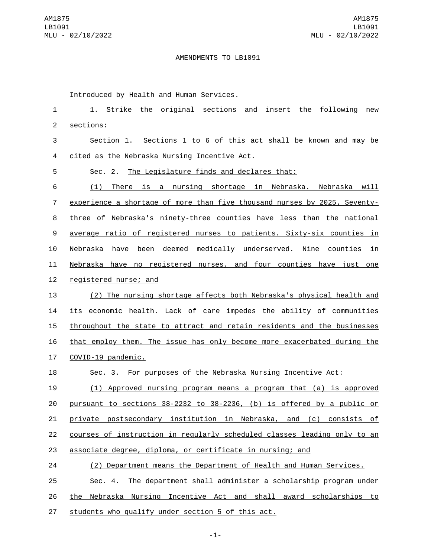## AMENDMENTS TO LB1091

Introduced by Health and Human Services.

| 1              | Strike the<br>original sections<br>and<br>insert the<br>following<br>1.<br>new |
|----------------|--------------------------------------------------------------------------------|
| $\overline{2}$ | sections:                                                                      |
| 3              | Section 1. Sections 1 to 6 of this act shall be known and may be               |
| 4              | cited as the Nebraska Nursing Incentive Act.                                   |
| 5              | The Legislature finds and declares that:<br>Sec. 2.                            |
| 6              | (1) There is a nursing shortage in Nebraska. Nebraska will                     |
| $\overline{7}$ | experience a shortage of more than five thousand nurses by 2025. Seventy-      |
| 8              | three of Nebraska's ninety-three counties have less than the national          |
| 9              | average ratio of registered nurses to patients. Sixty-six counties in          |
| 10             | have been deemed medically underserved. Nine counties in<br>Nebraska           |
| 11             | Nebraska have no registered nurses, and four counties have just one            |
| 12             | registered nurse; and                                                          |
| 13             | (2) The nursing shortage affects both Nebraska's physical health and           |
| 14             | its economic health. Lack of care impedes the ability of communities           |
| 15             | throughout the state to attract and retain residents and the businesses        |
| 16             | that employ them. The issue has only become more exacerbated during the        |
| 17             | COVID-19 pandemic.                                                             |
| 18             | Sec. 3. For purposes of the Nebraska Nursing Incentive Act:                    |
| 19             | (1) Approved nursing program means a program that (a) is approved              |
| 20             | pursuant to sections 38-2232 to 38-2236, (b) is offered by a public or         |
| 21             | private postsecondary institution in Nebraska, and (c) consists of             |
| 22             | courses of instruction in regularly scheduled classes leading only to an       |
| 23             | associate degree, diploma, or certificate in nursing; and                      |
| 24             | (2) Department means the Department of Health and Human Services.              |
| 25             | The department shall administer a scholarship program under<br>Sec. 4.         |
| 26             | the Nebraska Nursing Incentive Act and shall award scholarships to             |
| 27             | students who qualify under section 5 of this act.                              |

-1-